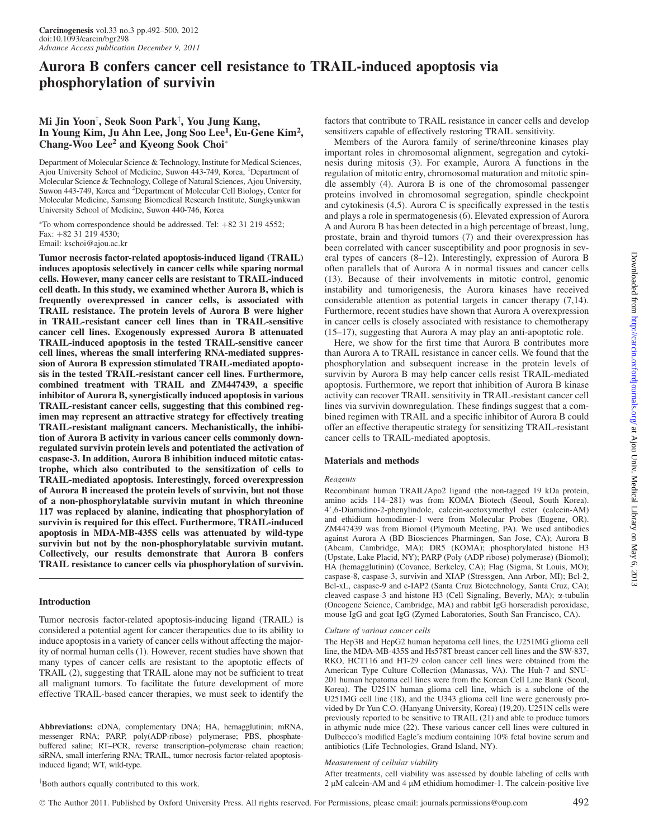# Aurora B confers cancer cell resistance to TRAIL-induced apoptosis via phosphorylation of survivin

# Mi Jin Yoon<sup>†</sup>, Seok Soon Park<sup>†</sup>, You Jung Kang, In Young Kim, Ju Ahn Lee, Jong Soo Lee<sup>1</sup>, Eu-Gene Kim<sup>2</sup>, Chang-Woo Lee<sup>2</sup> and Kyeong Sook Choi<sup>\*</sup>

Department of Molecular Science & Technology, Institute for Medical Sciences, Ajou University School of Medicine, Suwon 443-749, Korea, <sup>1</sup>Department of Molecular Science & Technology, College of Natural Sciences, Ajou University, Suwon 443-749, Korea and <sup>2</sup>Department of Molecular Cell Biology, Center for Molecular Medicine, Samsung Biomedical Research Institute, Sungkyunkwan University School of Medicine, Suwon 440-746, Korea

\*To whom correspondence should be addressed. Tel: +82 31 219 4552; Fax: +82 31 219 4530; Email: kschoi@ajou.ac.kr

Tumor necrosis factor-related apoptosis-induced ligand (TRAIL) induces apoptosis selectively in cancer cells while sparing normal cells. However, many cancer cells are resistant to TRAIL-induced cell death. In this study, we examined whether Aurora B, which is frequently overexpressed in cancer cells, is associated with TRAIL resistance. The protein levels of Aurora B were higher in TRAIL-resistant cancer cell lines than in TRAIL-sensitive cancer cell lines. Exogenously expressed Aurora B attenuated TRAIL-induced apoptosis in the tested TRAIL-sensitive cancer cell lines, whereas the small interfering RNA-mediated suppression of Aurora B expression stimulated TRAIL-mediated apoptosis in the tested TRAIL-resistant cancer cell lines. Furthermore, combined treatment with TRAIL and ZM447439, a specific inhibitor of Aurora B, synergistically induced apoptosis in various TRAIL-resistant cancer cells, suggesting that this combined regimen may represent an attractive strategy for effectively treating TRAIL-resistant malignant cancers. Mechanistically, the inhibition of Aurora B activity in various cancer cells commonly downregulated survivin protein levels and potentiated the activation of caspase-3. In addition, Aurora B inhibition induced mitotic catastrophe, which also contributed to the sensitization of cells to TRAIL-mediated apoptosis. Interestingly, forced overexpression of Aurora B increased the protein levels of survivin, but not those of a non-phosphorylatable survivin mutant in which threonine 117 was replaced by alanine, indicating that phosphorylation of survivin is required for this effect. Furthermore, TRAIL-induced apoptosis in MDA-MB-435S cells was attenuated by wild-type survivin but not by the non-phosphorylatable survivin mutant. Collectively, our results demonstrate that Aurora B confers TRAIL resistance to cancer cells via phosphorylation of survivin.

#### Introduction

Tumor necrosis factor-related apoptosis-inducing ligand (TRAIL) is considered a potential agent for cancer therapeutics due to its ability to induce apoptosis in a variety of cancer cells without affecting the majority of normal human cells (1). However, recent studies have shown that many types of cancer cells are resistant to the apoptotic effects of TRAIL (2), suggesting that TRAIL alone may not be sufficient to treat all malignant tumors. To facilitate the future development of more effective TRAIL-based cancer therapies, we must seek to identify the

Abbreviations: cDNA, complementary DNA; HA, hemagglutinin; mRNA, messenger RNA; PARP, poly(ADP-ribose) polymerase; PBS, phosphatebuffered saline; RT–PCR, reverse transcription–polymerase chain reaction; siRNA, small interfering RNA; TRAIL, tumor necrosis factor-related apoptosisinduced ligand; WT, wild-type.

factors that contribute to TRAIL resistance in cancer cells and develop sensitizers capable of effectively restoring TRAIL sensitivity.

Members of the Aurora family of serine/threonine kinases play important roles in chromosomal alignment, segregation and cytokinesis during mitosis (3). For example, Aurora A functions in the regulation of mitotic entry, chromosomal maturation and mitotic spindle assembly (4). Aurora B is one of the chromosomal passenger proteins involved in chromosomal segregation, spindle checkpoint and cytokinesis (4,5). Aurora C is specifically expressed in the testis and plays a role in spermatogenesis (6). Elevated expression of Aurora A and Aurora B has been detected in a high percentage of breast, lung, prostate, brain and thyroid tumors (7) and their overexpression has been correlated with cancer susceptibility and poor prognosis in several types of cancers (8–12). Interestingly, expression of Aurora B often parallels that of Aurora A in normal tissues and cancer cells (13). Because of their involvements in mitotic control, genomic instability and tumorigenesis, the Aurora kinases have received considerable attention as potential targets in cancer therapy (7,14). Furthermore, recent studies have shown that Aurora A overexpression in cancer cells is closely associated with resistance to chemotherapy (15–17), suggesting that Aurora A may play an anti-apoptotic role.

Here, we show for the first time that Aurora B contributes more than Aurora A to TRAIL resistance in cancer cells. We found that the phosphorylation and subsequent increase in the protein levels of survivin by Aurora B may help cancer cells resist TRAIL-mediated apoptosis. Furthermore, we report that inhibition of Aurora B kinase activity can recover TRAIL sensitivity in TRAIL-resistant cancer cell lines via survivin downregulation. These findings suggest that a combined regimen with TRAIL and a specific inhibitor of Aurora B could offer an effective therapeutic strategy for sensitizing TRAIL-resistant cancer cells to TRAIL-mediated apoptosis.

#### Materials and methods

#### Reagents

Recombinant human TRAIL/Apo2 ligand (the non-tagged 19 kDa protein, amino acids 114–281) was from KOMA Biotech (Seoul, South Korea). 4#,6-Diamidino-2-phenylindole, calcein-acetoxymethyl ester (calcein-AM) and ethidium homodimer-1 were from Molecular Probes (Eugene, OR). ZM447439 was from Biomol (Plymouth Meeting, PA). We used antibodies against Aurora A (BD Biosciences Pharmingen, San Jose, CA); Aurora B (Abcam, Cambridge, MA); DR5 (KOMA); phosphorylated histone H3 (Upstate, Lake Placid, NY); PARP (Poly (ADP ribose) polymerase) (Biomol); HA (hemagglutinin) (Covance, Berkeley, CA); Flag (Sigma, St Louis, MO); caspase-8, caspase-3, survivin and XIAP (Stressgen, Ann Arbor, MI); Bcl-2, Bcl-xL, caspase-9 and c-IAP2 (Santa Cruz Biotechnology, Santa Cruz, CA); cleaved caspase-3 and histone H3 (Cell Signaling, Beverly, MA); a-tubulin (Oncogene Science, Cambridge, MA) and rabbit IgG horseradish peroxidase, mouse IgG and goat IgG (Zymed Laboratories, South San Francisco, CA).

#### Culture of various cancer cells

The Hep3B and HepG2 human hepatoma cell lines, the U251MG glioma cell line, the MDA-MB-435S and Hs578T breast cancer cell lines and the SW-837, RKO, HCT116 and HT-29 colon cancer cell lines were obtained from the American Type Culture Collection (Manassas, VA). The Huh-7 and SNU-201 human hepatoma cell lines were from the Korean Cell Line Bank (Seoul, Korea). The U251N human glioma cell line, which is a subclone of the U251MG cell line (18), and the U343 glioma cell line were generously provided by Dr Yun C.O. (Hanyang University, Korea) (19,20). U251N cells were previously reported to be sensitive to TRAIL (21) and able to produce tumors in athymic nude mice (22). These various cancer cell lines were cultured in Dulbecco's modified Eagle's medium containing 10% fetal bovine serum and antibiotics (Life Technologies, Grand Island, NY).

#### Measurement of cellular viability

After treatments, cell viability was assessed by double labeling of cells with 2 µM calcein-AM and 4 µM ethidium homodimer-1. The calcein-positive live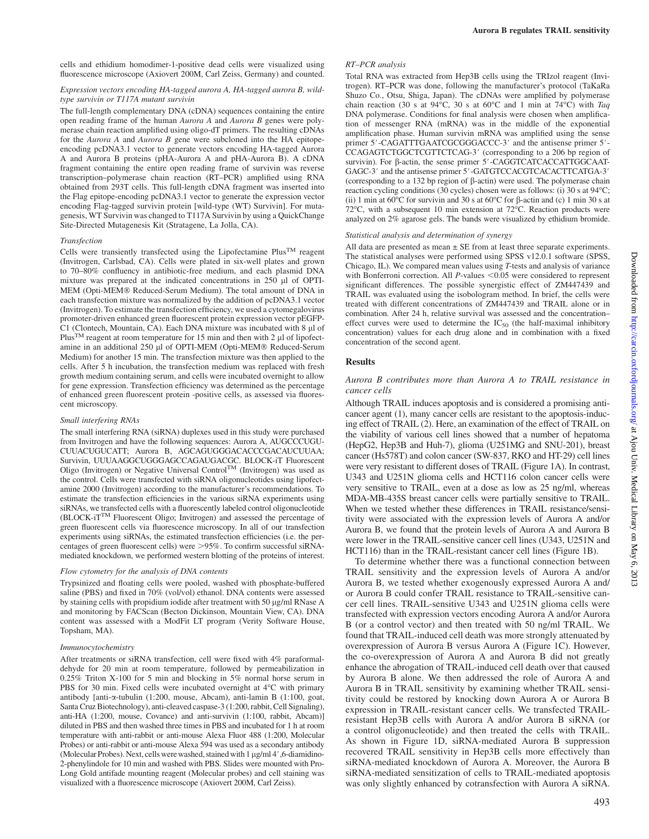cells and ethidium homodimer-1-positive dead cells were visualized using fluorescence microscope (Axiovert 200M, Carl Zeiss, Germany) and counted.

#### Expression vectors encoding HA-tagged aurora A, HA-tagged aurora B, wildtype survivin or T117A mutant survivin

The full-length complementary DNA (cDNA) sequences containing the entire open reading frame of the human Aurora A and Aurora B genes were polymerase chain reaction amplified using oligo-dT primers. The resulting cDNAs for the Aurora A and Aurora B gene were subcloned into the HA epitopeencoding pcDNA3.1 vector to generate vectors encoding HA-tagged Aurora A and Aurora B proteins (pHA-Aurora A and pHA-Aurora B). A cDNA fragment containing the entire open reading frame of survivin was reverse transcription–polymerase chain reaction (RT–PCR) amplified using RNA obtained from 293T cells. This full-length cDNA fragment was inserted into the Flag epitope-encoding pcDNA3.1 vector to generate the expression vector encoding Flag-tagged survivin protein [wild-type (WT) Survivin]. For mutagenesis, WT Survivin was changed to T117A Survivin by using a QuickChange Site-Directed Mutagenesis Kit (Stratagene, La Jolla, CA).

#### Transfection

Cells were transiently transfected using the Lipofectamine  $Plus^{TM}$  reagent (Invitrogen, Carlsbad, CA). Cells were plated in six-well plates and grown to 70–80% confluency in antibiotic-free medium, and each plasmid DNA mixture was prepared at the indicated concentrations in 250 µl of OPTI-MEM (Opti-MEM® Reduced-Serum Medium). The total amount of DNA in each transfection mixture was normalized by the addition of pcDNA3.1 vector (Invitrogen). To estimate the transfection efficiency, we used a cytomegalovirus promoter-driven enhanced green fluorescent protein expression vector pEGFP-C1 (Clontech, Mountain, CA). Each DNA mixture was incubated with 8 ll of Plus<sup>TM</sup> reagent at room temperature for 15 min and then with 2  $\mu$ l of lipofectamine in an additional 250 µl of OPTI-MEM (Opti-MEM® Reduced-Serum Medium) for another 15 min. The transfection mixture was then applied to the cells. After 5 h incubation, the transfection medium was replaced with fresh growth medium containing serum, and cells were incubated overnight to allow for gene expression. Transfection efficiency was determined as the percentage of enhanced green fluorescent protein -positive cells, as assessed via fluorescent microscopy.

#### Small interfering RNAs

The small interfering RNA (siRNA) duplexes used in this study were purchased from Invitrogen and have the following sequences: Aurora A, AUGCCCUGU-CUUACUGUCATT; Aurora B, AGCAGUGGGACACCCGACAUCUUAA; Survivin, UUUAAGGCUGGGAGCCAGAUGACGC. BLOCK-iT Fluorescent Oligo (Invitrogen) or Negative Universal Control<sup>TM</sup> (Invitrogen) was used as the control. Cells were transfected with siRNA oligonucleotides using lipofectamine 2000 (Invitrogen) according to the manufacturer's recommendations. To estimate the transfection efficiencies in the various siRNA experiments using siRNAs, we transfected cells with a fluorescently labeled control oligonucleotide (BLOCK-iTTM Fluorescent Oligo; Invitrogen) and assessed the percentage of green fluorescent cells via fluorescence microscopy. In all of our transfection experiments using siRNAs, the estimated transfection efficiencies (i.e. the percentages of green fluorescent cells) were  $>95\%$ . To confirm successful siRNAmediated knockdown, we performed western blotting of the proteins of interest.

## Flow cytometry for the analysis of DNA contents

Trypsinized and floating cells were pooled, washed with phosphate-buffered saline (PBS) and fixed in 70% (vol/vol) ethanol. DNA contents were assessed by staining cells with propidium iodide after treatment with 50  $\mu$ g/ml RNase A and monitoring by FACScan (Becton Dickinson, Mountain View, CA). DNA content was assessed with a ModFit LT program (Verity Software House, Topsham, MA).

#### Immunocytochemistry

After treatments or siRNA transfection, cell were fixed with 4% paraformaldehyde for 20 min at room temperature, followed by permeabilization in 0.25% Triton X-100 for 5 min and blocking in 5% normal horse serum in PBS for 30 min. Fixed cells were incubated overnight at 4°C with primary antibody [anti-a-tubulin (1:200, mouse, Abcam), anti-lamin B (1:100, goat, Santa Cruz Biotechnology), anti-cleaved caspase-3 (1:200, rabbit, Cell Signaling), anti-HA (1:200, mouse, Covance) and anti-survivin (1:100, rabbit, Abcam)] diluted in PBS and then washed three times in PBS and incubated for 1 h at room temperature with anti-rabbit or anti-mouse Alexa Fluor 488 (1:200, Molecular Probes) or anti-rabbit or anti-mouse Alexa 594 was used as a secondary antibody (Molecular Probes). Next, cells were washed, stained with  $1 \mu g/ml 4'$ , 6-diamidino-2-phenylindole for 10 min and washed with PBS. Slides were mounted with Pro-Long Gold antifade mounting reagent (Molecular probes) and cell staining was visualized with a fluorescence microscope (Axiovert 200M, Carl Zeiss).

#### RT–PCR analysis

Total RNA was extracted from Hep3B cells using the TRIzol reagent (Invitrogen). RT–PCR was done, following the manufacturer's protocol (TaKaRa Shuzo Co., Otsu, Shiga, Japan). The cDNAs were amplified by polymerase chain reaction (30 s at 94 $\degree$ C, 30 s at 60 $\degree$ C and 1 min at 74 $\degree$ C) with Taq DNA polymerase. Conditions for final analysis were chosen when amplification of messenger RNA (mRNA) was in the middle of the exponential amplification phase. Human survivin mRNA was amplified using the sense primer 5'-CAGATTTGAATCGCGGGACCC-3' and the antisense primer 5'-CCAGAGTCTGGCTCGTTCTCAG-3' (corresponding to a 206 bp region of survivin). For  $\beta$ -actin, the sense primer 5'-CAGGTCATCACCATTGGCAAT-GAGC-3' and the antisense primer 5'-GATGTCCACGTCACACTTCATGA-3' (corresponding to a 132 bp region of  $\beta$ -actin) were used. The polymerase chain reaction cycling conditions (30 cycles) chosen were as follows: (i) 30 s at  $94^{\circ}$ C; (ii) 1 min at 60°C for survivin and 30 s at 60°C for  $\beta$ -actin and (c) 1 min 30 s at 72°C, with a subsequent 10 min extension at 72°C. Reaction products were analyzed on 2% agarose gels. The bands were visualized by ethidium bromide.

#### Statistical analysis and determination of synergy

All data are presented as mean  $\pm$  SE from at least three separate experiments. The statistical analyses were performed using SPSS v12.0.1 software (SPSS, Chicago, IL). We compared mean values using T-tests and analysis of variance with Bonferroni correction. All  $P$ -values <0.05 were considered to represent significant differences. The possible synergistic effect of ZM447439 and TRAIL was evaluated using the isobologram method. In brief, the cells were treated with different concentrations of ZM447439 and TRAIL alone or in combination. After 24 h, relative survival was assessed and the concentration– effect curves were used to determine the  $IC_{50}$  (the half-maximal inhibitory concentration) values for each drug alone and in combination with a fixed concentration of the second agent.

#### Results

#### Aurora B contributes more than Aurora A to TRAIL resistance in cancer cells

Although TRAIL induces apoptosis and is considered a promising anticancer agent (1), many cancer cells are resistant to the apoptosis-inducing effect of TRAIL (2). Here, an examination of the effect of TRAIL on the viability of various cell lines showed that a number of hepatoma (HepG2, Hep3B and Huh-7), glioma (U251MG and SNU-201), breast cancer (Hs578T) and colon cancer (SW-837, RKO and HT-29) cell lines were very resistant to different doses of TRAIL (Figure 1A). In contrast, U343 and U251N glioma cells and HCT116 colon cancer cells were very sensitive to TRAIL, even at a dose as low as 25 ng/ml, whereas MDA-MB-435S breast cancer cells were partially sensitive to TRAIL. When we tested whether these differences in TRAIL resistance/sensitivity were associated with the expression levels of Aurora A and/or Aurora B, we found that the protein levels of Aurora A and Aurora B were lower in the TRAIL-sensitive cancer cell lines (U343, U251N and HCT116) than in the TRAIL-resistant cancer cell lines (Figure 1B).

To determine whether there was a functional connection between TRAIL sensitivity and the expression levels of Aurora A and/or Aurora B, we tested whether exogenously expressed Aurora A and/ or Aurora B could confer TRAIL resistance to TRAIL-sensitive cancer cell lines. TRAIL-sensitive U343 and U251N glioma cells were transfected with expression vectors encoding Aurora A and/or Aurora B (or a control vector) and then treated with 50 ng/ml TRAIL. We found that TRAIL-induced cell death was more strongly attenuated by overexpression of Aurora B versus Aurora A (Figure 1C). However, the co-overexpression of Aurora A and Aurora B did not greatly enhance the abrogation of TRAIL-induced cell death over that caused by Aurora B alone. We then addressed the role of Aurora A and Aurora B in TRAIL sensitivity by examining whether TRAIL sensitivity could be restored by knocking down Aurora A or Aurora B expression in TRAIL-resistant cancer cells. We transfected TRAILresistant Hep3B cells with Aurora A and/or Aurora B siRNA (or a control oligonucleotide) and then treated the cells with TRAIL. As shown in Figure 1D, siRNA-mediated Aurora B suppression recovered TRAIL sensitivity in Hep3B cells more effectively than siRNA-mediated knockdown of Aurora A. Moreover, the Aurora B siRNA-mediated sensitization of cells to TRAIL-mediated apoptosis was only slightly enhanced by cotransfection with Aurora A siRNA.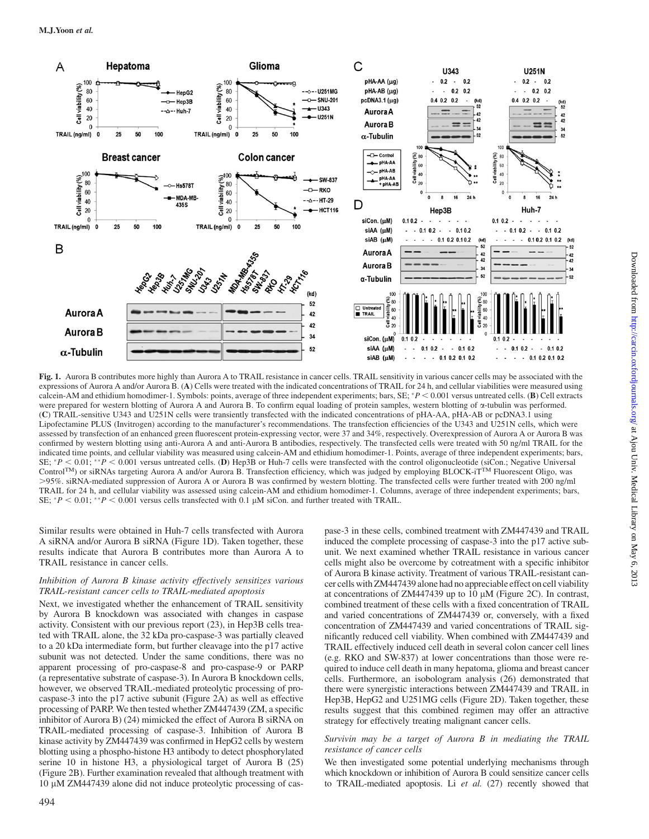

Fig. 1. Aurora B contributes more highly than Aurora A to TRAIL resistance in cancer cells. TRAIL sensitivity in various cancer cells may be associated with the expressions of Aurora A and/or Aurora B. (A) Cells were treated with the indicated concentrations of TRAIL for 24 h, and cellular viabilities were measured using calcein-AM and ethidium homodimer-1. Symbols: points, average of three independent experiments; bars, SE;  $*P < 0.001$  versus untreated cells. (B) Cell extracts were prepared for western blotting of Aurora A and Aurora B. To confirm equal loading of protein samples, western blotting of  $\alpha$ -tubulin was performed. (C) TRAIL-sensitive U343 and U251N cells were transiently transfected with the indicated concentrations of pHA-AA, pHA-AB or pcDNA3.1 using Lipofectamine PLUS (Invitrogen) according to the manufacturer's recommendations. The transfection efficiencies of the U343 and U251N cells, which were assessed by transfection of an enhanced green fluorescent protein-expressing vector, were 37 and 34%, respectively. Overexpression of Aurora A or Aurora B was confirmed by western blotting using anti-Aurora A and anti-Aurora B antibodies, respectively. The transfected cells were treated with 50 ng/ml TRAIL for the indicated time points, and cellular viability was measured using calcein-AM and ethidium homodimer-1. Points, average of three independent experiments; bars, SE;  $P < 0.01$ ; \*\*P  $< 0.001$  versus untreated cells. (D) Hep3B or Huh-7 cells were transfected with the control oligonucleotide (siCon.; Negative Universal ControlTM) or siRNAs targeting Aurora A and/or Aurora B. Transfection efficiency, which was judged by employing BLOCK-iTTM Fluorescent Oligo, was .95%. siRNA-mediated suppression of Aurora A or Aurora B was confirmed by western blotting. The transfected cells were further treated with 200 ng/ml TRAIL for 24 h, and cellular viability was assessed using calcein-AM and ethidium homodimer-1. Columns, average of three independent experiments; bars, SE;  $*P < 0.01$ ;  $*P < 0.001$  versus cells transfected with 0.1 µM siCon. and further treated with TRAIL.

Similar results were obtained in Huh-7 cells transfected with Aurora A siRNA and/or Aurora B siRNA (Figure 1D). Taken together, these results indicate that Aurora B contributes more than Aurora A to TRAIL resistance in cancer cells.

## Inhibition of Aurora B kinase activity effectively sensitizes various TRAIL-resistant cancer cells to TRAIL-mediated apoptosis

Next, we investigated whether the enhancement of TRAIL sensitivity by Aurora B knockdown was associated with changes in caspase activity. Consistent with our previous report (23), in Hep3B cells treated with TRAIL alone, the 32 kDa pro-caspase-3 was partially cleaved to a 20 kDa intermediate form, but further cleavage into the p17 active subunit was not detected. Under the same conditions, there was no apparent processing of pro-caspase-8 and pro-caspase-9 or PARP (a representative substrate of caspase-3). In Aurora B knockdown cells, however, we observed TRAIL-mediated proteolytic processing of procaspase-3 into the p17 active subunit (Figure 2A) as well as effective processing of PARP. We then tested whether ZM447439 (ZM, a specific inhibitor of Aurora B) (24) mimicked the effect of Aurora B siRNA on TRAIL-mediated processing of caspase-3. Inhibition of Aurora B kinase activity by ZM447439 was confirmed in HepG2 cells by western blotting using a phospho-histone H3 antibody to detect phosphorylated serine 10 in histone H3, a physiological target of Aurora B (25) (Figure 2B). Further examination revealed that although treatment with 10 lM ZM447439 alone did not induce proteolytic processing of caspase-3 in these cells, combined treatment with ZM447439 and TRAIL induced the complete processing of caspase-3 into the p17 active subunit. We next examined whether TRAIL resistance in various cancer cells might also be overcome by cotreatment with a specific inhibitor of Aurora B kinase activity. Treatment of various TRAIL-resistant cancer cells with ZM447439 alone had no appreciable effect on cell viability at concentrations of ZM447439 up to  $10 \mu M$  (Figure 2C). In contrast, combined treatment of these cells with a fixed concentration of TRAIL and varied concentrations of ZM447439 or, conversely, with a fixed concentration of ZM447439 and varied concentrations of TRAIL significantly reduced cell viability. When combined with ZM447439 and TRAIL effectively induced cell death in several colon cancer cell lines (e.g. RKO and SW-837) at lower concentrations than those were required to induce cell death in many hepatoma, glioma and breast cancer cells. Furthermore, an isobologram analysis (26) demonstrated that there were synergistic interactions between ZM447439 and TRAIL in Hep3B, HepG2 and U251MG cells (Figure 2D). Taken together, these results suggest that this combined regimen may offer an attractive strategy for effectively treating malignant cancer cells.

## Survivin may be a target of Aurora B in mediating the TRAIL resistance of cancer cells

We then investigated some potential underlying mechanisms through which knockdown or inhibition of Aurora B could sensitize cancer cells to TRAIL-mediated apoptosis. Li et al. (27) recently showed that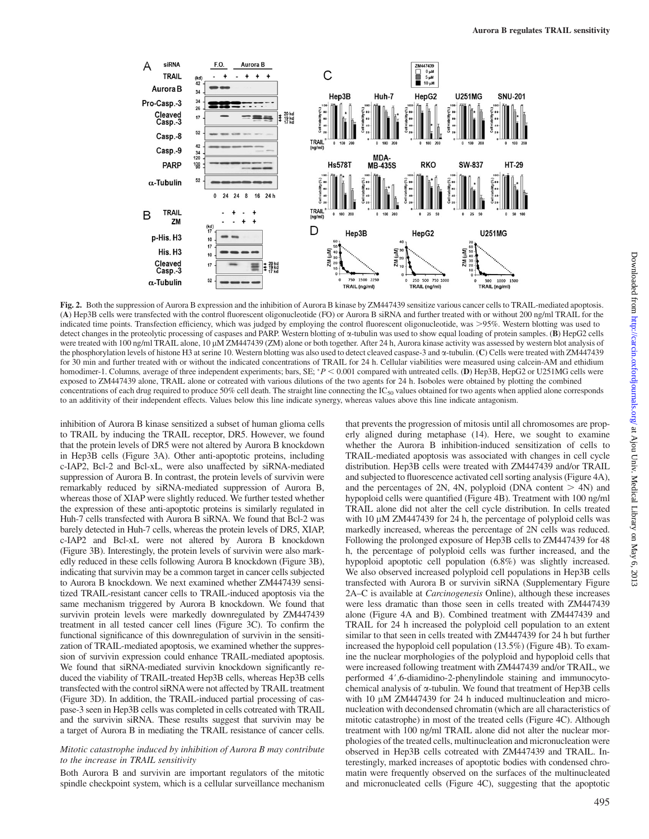

Fig. 2. Both the suppression of Aurora B expression and the inhibition of Aurora B kinase by ZM447439 sensitize various cancer cells to TRAIL-mediated apoptosis. (A) Hep3B cells were transfected with the control fluorescent oligonucleotide (FO) or Aurora B siRNA and further treated with or without 200 ng/ml TRAIL for the indicated time points. Transfection efficiency, which was judged by employing the control fluorescent oligonucleotide, was >95%. Western blotting was used to detect changes in the proteolytic processing of caspases and PARP. Western blotting of  $\alpha$ -tubulin was used to show equal loading of protein samples. (B) HepG2 cells were treated with 100 ng/ml TRAIL alone, 10 µM ZM447439 (ZM) alone or both together. After 24 h, Aurora kinase activity was assessed by western blot analysis of the phosphorylation levels of histone H3 at serine 10. Western blotting was also used to detect cleaved caspase-3 and a-tubulin. (C) Cells were treated with ZM447439 for 30 min and further treated with or without the indicated concentrations of TRAIL for 24 h. Cellular viabilities were measured using calcein-AM and ethidium homodimer-1. Columns, average of three independent experiments; bars, SE;  $^*P < 0.001$  compared with untreated cells. (D) Hep3B, HepG2 or U251MG cells were exposed to ZM447439 alone, TRAIL alone or cotreated with various dilutions of the two agents for 24 h. Isoboles were obtained by plotting the combined concentrations of each drug required to produce 50% cell death. The straight line connecting the  $IC_{50}$  values obtained for two agents when applied alone corresponds to an additivity of their independent effects. Values below this line indicate synergy, whereas values above this line indicate antagonism.

inhibition of Aurora B kinase sensitized a subset of human glioma cells to TRAIL by inducing the TRAIL receptor, DR5. However, we found that the protein levels of DR5 were not altered by Aurora B knockdown in Hep3B cells (Figure 3A). Other anti-apoptotic proteins, including c-IAP2, Bcl-2 and Bcl-xL, were also unaffected by siRNA-mediated suppression of Aurora B. In contrast, the protein levels of survivin were remarkably reduced by siRNA-mediated suppression of Aurora B, whereas those of XIAP were slightly reduced. We further tested whether the expression of these anti-apoptotic proteins is similarly regulated in Huh-7 cells transfected with Aurora B siRNA. We found that Bcl-2 was barely detected in Huh-7 cells, whereas the protein levels of DR5, XIAP, c-IAP2 and Bcl-xL were not altered by Aurora B knockdown (Figure 3B). Interestingly, the protein levels of survivin were also markedly reduced in these cells following Aurora B knockdown (Figure 3B), indicating that survivin may be a common target in cancer cells subjected to Aurora B knockdown. We next examined whether ZM447439 sensitized TRAIL-resistant cancer cells to TRAIL-induced apoptosis via the same mechanism triggered by Aurora B knockdown. We found that survivin protein levels were markedly downregulated by ZM447439 treatment in all tested cancer cell lines (Figure 3C). To confirm the functional significance of this downregulation of survivin in the sensitization of TRAIL-mediated apoptosis, we examined whether the suppression of survivin expression could enhance TRAIL-mediated apoptosis. We found that siRNA-mediated survivin knockdown significantly reduced the viability of TRAIL-treated Hep3B cells, whereas Hep3B cells transfected with the control siRNAwere not affected by TRAIL treatment (Figure 3D). In addition, the TRAIL-induced partial processing of caspase-3 seen in Hep3B cells was completed in cells cotreated with TRAIL and the survivin siRNA. These results suggest that survivin may be a target of Aurora B in mediating the TRAIL resistance of cancer cells.

### Mitotic catastrophe induced by inhibition of Aurora B may contribute to the increase in TRAIL sensitivity

Both Aurora B and survivin are important regulators of the mitotic spindle checkpoint system, which is a cellular surveillance mechanism

that prevents the progression of mitosis until all chromosomes are properly aligned during metaphase (14). Here, we sought to examine whether the Aurora B inhibition-induced sensitization of cells to TRAIL-mediated apoptosis was associated with changes in cell cycle distribution. Hep3B cells were treated with ZM447439 and/or TRAIL and subjected to fluorescence activated cell sorting analysis (Figure 4A), and the percentages of 2N, 4N, polyploid (DNA content  $> 4N$ ) and hypoploid cells were quantified (Figure 4B). Treatment with 100 ng/ml TRAIL alone did not alter the cell cycle distribution. In cells treated with 10  $\mu$ M ZM447439 for 24 h, the percentage of polyploid cells was markedly increased, whereas the percentage of 2N cells was reduced. Following the prolonged exposure of Hep3B cells to ZM447439 for 48 h, the percentage of polyploid cells was further increased, and the hypoploid apoptotic cell population (6.8%) was slightly increased. We also observed increased polyploid cell populations in Hep3B cells transfected with Aurora B or survivin siRNA [\(Supplementary Figure](http://www.carcin.oxfordjournals.org/lookup/suppl/doi:10.1093/carcin/bgr298/-/DC1) [2A–C](http://www.carcin.oxfordjournals.org/lookup/suppl/doi:10.1093/carcin/bgr298/-/DC1) is available at Carcinogenesis Online), although these increases were less dramatic than those seen in cells treated with ZM447439 alone (Figure 4A and B). Combined treatment with ZM447439 and TRAIL for 24 h increased the polyploid cell population to an extent similar to that seen in cells treated with ZM447439 for 24 h but further increased the hypoploid cell population (13.5%) (Figure 4B). To examine the nuclear morphologies of the polyploid and hypoploid cells that were increased following treatment with ZM447439 and/or TRAIL, we performed 4',6-diamidino-2-phenylindole staining and immunocytochemical analysis of a-tubulin. We found that treatment of Hep3B cells with 10  $\mu$ M ZM447439 for 24 h induced multinucleation and micronucleation with decondensed chromatin (which are all characteristics of mitotic catastrophe) in most of the treated cells (Figure 4C). Although treatment with 100 ng/ml TRAIL alone did not alter the nuclear morphologies of the treated cells, multinucleation and micronucleation were observed in Hep3B cells cotreated with ZM447439 and TRAIL. Interestingly, marked increases of apoptotic bodies with condensed chromatin were frequently observed on the surfaces of the multinucleated and micronucleated cells (Figure 4C), suggesting that the apoptotic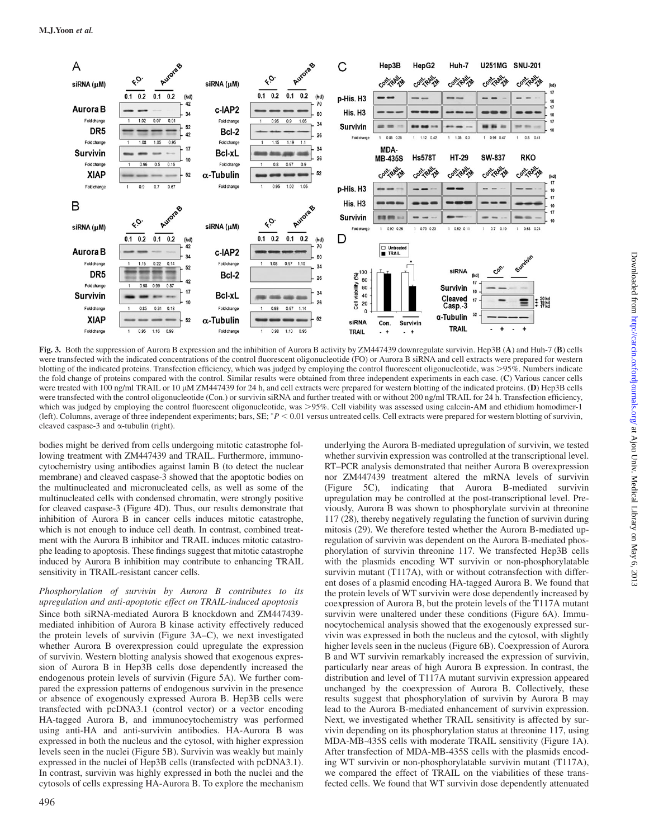

Fig. 3. Both the suppression of Aurora B expression and the inhibition of Aurora B activity by ZM447439 downregulate survivin. Hep3B (A) and Huh-7 (B) cells were transfected with the indicated concentrations of the control fluorescent oligonucleotide (FO) or Aurora B siRNA and cell extracts were prepared for western blotting of the indicated proteins. Transfection efficiency, which was judged by employing the control fluorescent oligonucleotide, was >95%. Numbers indicate the fold change of proteins compared with the control. Similar results were obtained from three independent experiments in each case. (C) Various cancer cells were treated with 100 ng/ml TRAIL or 10  $\mu$ M ZM447439 for 24 h, and cell extracts were prepared for western blotting of the indicated proteins. (D) Hep3B cells were transfected with the control oligonucleotide (Con.) or survivin siRNA and further treated with or without 200 ng/ml TRAIL for 24 h. Transfection efficiency, which was judged by employing the control fluorescent oligonucleotide, was  $>95\%$ . Cell viability was assessed using calcein-AM and ethidium homodimer-1 (left). Columns, average of three independent experiments; bars,  $SE$ ;  $P < 0.01$  versus untreated cells. Cell extracts were prepared for western blotting of survivin, cleaved caspase-3 and  $\alpha$ -tubulin (right).

bodies might be derived from cells undergoing mitotic catastrophe following treatment with ZM447439 and TRAIL. Furthermore, immunocytochemistry using antibodies against lamin B (to detect the nuclear membrane) and cleaved caspase-3 showed that the apoptotic bodies on the multinucleated and micronucleated cells, as well as some of the multinucleated cells with condensed chromatin, were strongly positive for cleaved caspase-3 (Figure 4D). Thus, our results demonstrate that inhibition of Aurora B in cancer cells induces mitotic catastrophe, which is not enough to induce cell death. In contrast, combined treatment with the Aurora B inhibitor and TRAIL induces mitotic catastrophe leading to apoptosis. These findings suggest that mitotic catastrophe induced by Aurora B inhibition may contribute to enhancing TRAIL sensitivity in TRAIL-resistant cancer cells.

# Phosphorylation of survivin by Aurora B contributes to its upregulation and anti-apoptotic effect on TRAIL-induced apoptosis Since both siRNA-mediated Aurora B knockdown and ZM447439-

mediated inhibition of Aurora B kinase activity effectively reduced the protein levels of survivin (Figure 3A–C), we next investigated whether Aurora B overexpression could upregulate the expression of survivin. Western blotting analysis showed that exogenous expression of Aurora B in Hep3B cells dose dependently increased the endogenous protein levels of survivin (Figure 5A). We further compared the expression patterns of endogenous survivin in the presence or absence of exogenously expressed Aurora B. Hep3B cells were transfected with pcDNA3.1 (control vector) or a vector encoding HA-tagged Aurora B, and immunocytochemistry was performed using anti-HA and anti-survivin antibodies. HA-Aurora B was expressed in both the nucleus and the cytosol, with higher expression levels seen in the nuclei (Figure 5B). Survivin was weakly but mainly expressed in the nuclei of Hep3B cells (transfected with pcDNA3.1). In contrast, survivin was highly expressed in both the nuclei and the cytosols of cells expressing HA-Aurora B. To explore the mechanism

RT–PCR analysis demonstrated that neither Aurora B overexpression nor ZM447439 treatment altered the mRNA levels of survivin (Figure 5C), indicating that Aurora B-mediated survivin upregulation may be controlled at the post-transcriptional level. Previously, Aurora B was shown to phosphorylate survivin at threonine 117 (28), thereby negatively regulating the function of survivin during mitosis (29). We therefore tested whether the Aurora B-mediated upregulation of survivin was dependent on the Aurora B-mediated phosphorylation of survivin threonine 117. We transfected Hep3B cells with the plasmids encoding WT survivin or non-phosphorylatable survivin mutant (T117A), with or without cotransfection with different doses of a plasmid encoding HA-tagged Aurora B. We found that the protein levels of WT survivin were dose dependently increased by coexpression of Aurora B, but the protein levels of the T117A mutant survivin were unaltered under these conditions (Figure 6A). Immunocytochemical analysis showed that the exogenously expressed survivin was expressed in both the nucleus and the cytosol, with slightly higher levels seen in the nucleus (Figure 6B). Coexpression of Aurora B and WT survivin remarkably increased the expression of survivin, particularly near areas of high Aurora B expression. In contrast, the distribution and level of T117A mutant survivin expression appeared unchanged by the coexpression of Aurora B. Collectively, these results suggest that phosphorylation of survivin by Aurora B may lead to the Aurora B-mediated enhancement of survivin expression. Next, we investigated whether TRAIL sensitivity is affected by survivin depending on its phosphorylation status at threonine 117, using MDA-MB-435S cells with moderate TRAIL sensitivity (Figure 1A). After transfection of MDA-MB-435S cells with the plasmids encoding WT survivin or non-phosphorylatable survivin mutant (T117A), we compared the effect of TRAIL on the viabilities of these transfected cells. We found that WT survivin dose dependently attenuated

underlying the Aurora B-mediated upregulation of survivin, we tested whether survivin expression was controlled at the transcriptional level.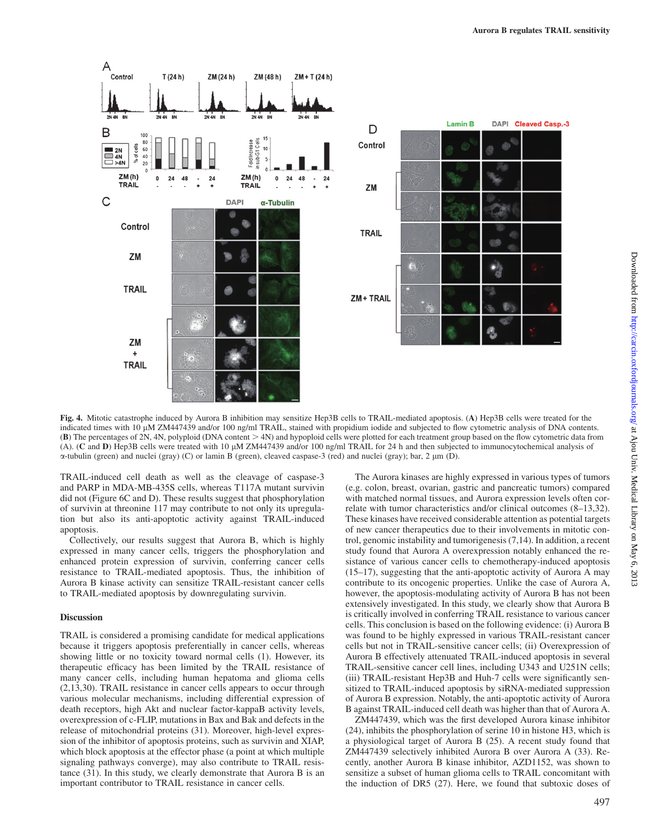

Fig. 4. Mitotic catastrophe induced by Aurora B inhibition may sensitize Hep3B cells to TRAIL-mediated apoptosis. (A) Hep3B cells were treated for the indicated times with 10 µM ZM447439 and/or 100 ng/ml TRAIL, stained with propidium iodide and subjected to flow cytometric analysis of DNA contents.  $(B)$  The percentages of 2N, 4N, polyploid (DNA content  $>$  4N) and hypoploid cells were plotted for each treatment group based on the flow cytometric data from (A). (C and D) Hep3B cells were treated with 10  $\mu$ M ZM447439 and/or 100 ng/ml TRAIL for 24 h and then subjected to immunocytochemical analysis of  $\alpha$ -tubulin (green) and nuclei (gray) (C) or lamin B (green), cleaved caspase-3 (red) and nuclei (gray); bar, 2  $\mu$ m (D).

TRAIL-induced cell death as well as the cleavage of caspase-3 and PARP in MDA-MB-435S cells, whereas T117A mutant survivin did not (Figure 6C and D). These results suggest that phosphorylation of survivin at threonine 117 may contribute to not only its upregulation but also its anti-apoptotic activity against TRAIL-induced apoptosis.

Collectively, our results suggest that Aurora B, which is highly expressed in many cancer cells, triggers the phosphorylation and enhanced protein expression of survivin, conferring cancer cells resistance to TRAIL-mediated apoptosis. Thus, the inhibition of Aurora B kinase activity can sensitize TRAIL-resistant cancer cells to TRAIL-mediated apoptosis by downregulating survivin.

## Discussion

TRAIL is considered a promising candidate for medical applications because it triggers apoptosis preferentially in cancer cells, whereas showing little or no toxicity toward normal cells (1). However, its therapeutic efficacy has been limited by the TRAIL resistance of many cancer cells, including human hepatoma and glioma cells (2,13,30). TRAIL resistance in cancer cells appears to occur through various molecular mechanisms, including differential expression of death receptors, high Akt and nuclear factor-kappaB activity levels, overexpression of c-FLIP, mutations in Bax and Bak and defects in the release of mitochondrial proteins (31). Moreover, high-level expression of the inhibitor of apoptosis proteins, such as survivin and XIAP, which block apoptosis at the effector phase (a point at which multiple signaling pathways converge), may also contribute to TRAIL resistance (31). In this study, we clearly demonstrate that Aurora B is an important contributor to TRAIL resistance in cancer cells.

The Aurora kinases are highly expressed in various types of tumors (e.g. colon, breast, ovarian, gastric and pancreatic tumors) compared with matched normal tissues, and Aurora expression levels often correlate with tumor characteristics and/or clinical outcomes (8–13,32). These kinases have received considerable attention as potential targets of new cancer therapeutics due to their involvements in mitotic control, genomic instability and tumorigenesis (7,14). In addition, a recent study found that Aurora A overexpression notably enhanced the resistance of various cancer cells to chemotherapy-induced apoptosis (15–17), suggesting that the anti-apoptotic activity of Aurora A may contribute to its oncogenic properties. Unlike the case of Aurora A, however, the apoptosis-modulating activity of Aurora B has not been extensively investigated. In this study, we clearly show that Aurora B is critically involved in conferring TRAIL resistance to various cancer cells. This conclusion is based on the following evidence: (i) Aurora B was found to be highly expressed in various TRAIL-resistant cancer cells but not in TRAIL-sensitive cancer cells; (ii) Overexpression of Aurora B effectively attenuated TRAIL-induced apoptosis in several TRAIL-sensitive cancer cell lines, including U343 and U251N cells; (iii) TRAIL-resistant Hep3B and Huh-7 cells were significantly sensitized to TRAIL-induced apoptosis by siRNA-mediated suppression of Aurora B expression. Notably, the anti-apoptotic activity of Aurora B against TRAIL-induced cell death was higher than that of Aurora A.

ZM447439, which was the first developed Aurora kinase inhibitor (24), inhibits the phosphorylation of serine 10 in histone H3, which is a physiological target of Aurora B (25). A recent study found that ZM447439 selectively inhibited Aurora B over Aurora A (33). Recently, another Aurora B kinase inhibitor, AZD1152, was shown to sensitize a subset of human glioma cells to TRAIL concomitant with the induction of DR5 (27). Here, we found that subtoxic doses of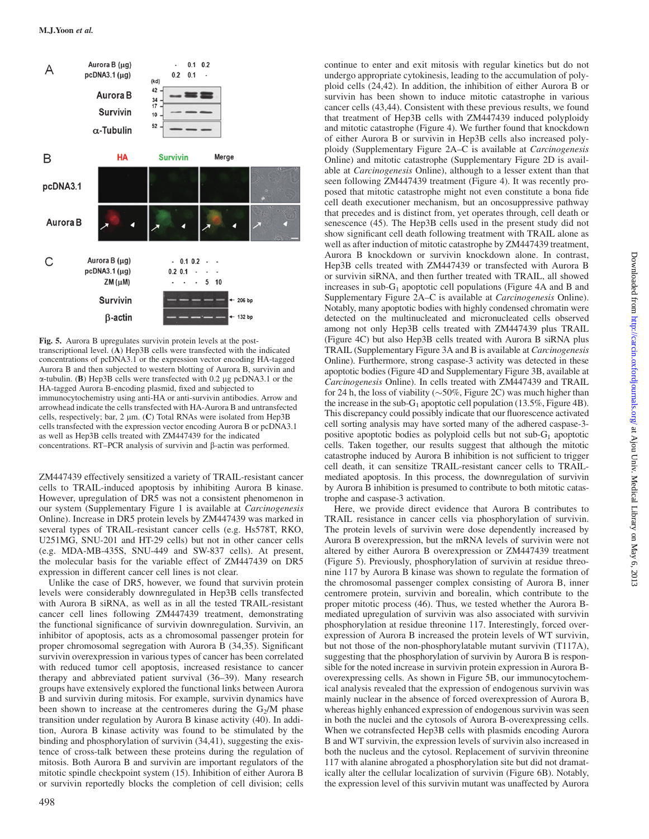

Fig. 5. Aurora B upregulates survivin protein levels at the posttranscriptional level. (A) Hep3B cells were transfected with the indicated concentrations of pcDNA3.1 or the expression vector encoding HA-tagged Aurora B and then subjected to western blotting of Aurora B, survivin and  $\alpha$ -tubulin. (B) Hep3B cells were transfected with 0.2 µg pcDNA3.1 or the HA-tagged Aurora B-encoding plasmid, fixed and subjected to immunocytochemistry using anti-HA or anti-survivin antibodies. Arrow and arrowhead indicate the cells transfected with HA-Aurora B and untransfected cells, respectively; bar, 2 µm. (C) Total RNAs were isolated from Hep3B cells transfected with the expression vector encoding Aurora B or pcDNA3.1 as well as Hep3B cells treated with ZM447439 for the indicated concentrations.  $RT-PCR$  analysis of survivin and  $\beta$ -actin was performed.

ZM447439 effectively sensitized a variety of TRAIL-resistant cancer cells to TRAIL-induced apoptosis by inhibiting Aurora B kinase. However, upregulation of DR5 was not a consistent phenomenon in our system [\(Supplementary Figure 1](http://www.carcin.oxfordjournals.org/lookup/suppl/doi:10.1093/carcin/bgr298/-/DC1) is available at Carcinogenesis Online). Increase in DR5 protein levels by ZM447439 was marked in several types of TRAIL-resistant cancer cells (e.g. Hs578T, RKO, U251MG, SNU-201 and HT-29 cells) but not in other cancer cells (e.g. MDA-MB-435S, SNU-449 and SW-837 cells). At present, the molecular basis for the variable effect of ZM447439 on DR5 expression in different cancer cell lines is not clear.

Unlike the case of DR5, however, we found that survivin protein levels were considerably downregulated in Hep3B cells transfected with Aurora B siRNA, as well as in all the tested TRAIL-resistant cancer cell lines following ZM447439 treatment, demonstrating the functional significance of survivin downregulation. Survivin, an inhibitor of apoptosis, acts as a chromosomal passenger protein for proper chromosomal segregation with Aurora B (34,35). Significant survivin overexpression in various types of cancer has been correlated with reduced tumor cell apoptosis, increased resistance to cancer therapy and abbreviated patient survival (36–39). Many research groups have extensively explored the functional links between Aurora B and survivin during mitosis. For example, survivin dynamics have been shown to increase at the centromeres during the  $G_2/M$  phase transition under regulation by Aurora B kinase activity (40). In addition, Aurora B kinase activity was found to be stimulated by the binding and phosphorylation of survivin (34,41), suggesting the existence of cross-talk between these proteins during the regulation of mitosis. Both Aurora B and survivin are important regulators of the mitotic spindle checkpoint system (15). Inhibition of either Aurora B or survivin reportedly blocks the completion of cell division; cells

undergo appropriate cytokinesis, leading to the accumulation of polyploid cells (24,42). In addition, the inhibition of either Aurora B or survivin has been shown to induce mitotic catastrophe in various cancer cells (43,44). Consistent with these previous results, we found that treatment of Hep3B cells with ZM447439 induced polyploidy and mitotic catastrophe (Figure 4). We further found that knockdown of either Aurora B or survivin in Hep3B cells also increased polyploidy ([Supplementary Figure 2A–C](http://www.carcin.oxfordjournals.org/lookup/suppl/doi:10.1093/carcin/bgr298/-/DC1) is available at Carcinogenesis Online) and mitotic catastrophe [\(Supplementary Figure 2D](http://www.carcin.oxfordjournals.org/lookup/suppl/doi:10.1093/carcin/bgr298/-/DC1) is available at Carcinogenesis Online), although to a lesser extent than that seen following ZM447439 treatment (Figure 4). It was recently proposed that mitotic catastrophe might not even constitute a bona fide cell death executioner mechanism, but an oncosuppressive pathway that precedes and is distinct from, yet operates through, cell death or senescence (45). The Hep3B cells used in the present study did not show significant cell death following treatment with TRAIL alone as well as after induction of mitotic catastrophe by ZM447439 treatment, Aurora B knockdown or survivin knockdown alone. In contrast, Hep3B cells treated with ZM447439 or transfected with Aurora B or survivin siRNA, and then further treated with TRAIL, all showed increases in sub- $G_1$  apoptotic cell populations (Figure 4A and B and [Supplementary Figure 2A–C](http://www.carcin.oxfordjournals.org/lookup/suppl/doi:10.1093/carcin/bgr298/-/DC1) is available at Carcinogenesis Online). Notably, many apoptotic bodies with highly condensed chromatin were detected on the multinucleated and micronucleated cells observed among not only Hep3B cells treated with ZM447439 plus TRAIL (Figure 4C) but also Hep3B cells treated with Aurora B siRNA plus TRAIL [\(Supplementary Figure 3A and B](http://www.carcin.oxfordjournals.org/lookup/suppl/doi:10.1093/carcin/bgr298/-/DC1) is available at Carcinogenesis Online). Furthermore, strong caspase-3 activity was detected in these apoptotic bodies (Figure 4D and [Supplementary Figure 3B](http://www.carcin.oxfordjournals.org/lookup/suppl/doi:10.1093/carcin/bgr298/-/DC1), available at Carcinogenesis Online). In cells treated with ZM447439 and TRAIL for 24 h, the loss of viability ( $\sim$  50%, Figure 2C) was much higher than the increase in the sub-G<sub>1</sub> apoptotic cell population (13.5%, Figure 4B). This discrepancy could possibly indicate that our fluorescence activated cell sorting analysis may have sorted many of the adhered caspase-3 positive apoptotic bodies as polyploid cells but not sub- $G_1$  apoptotic cells. Taken together, our results suggest that although the mitotic catastrophe induced by Aurora B inhibition is not sufficient to trigger cell death, it can sensitize TRAIL-resistant cancer cells to TRAILmediated apoptosis. In this process, the downregulation of survivin by Aurora B inhibition is presumed to contribute to both mitotic catastrophe and caspase-3 activation.

continue to enter and exit mitosis with regular kinetics but do not

Here, we provide direct evidence that Aurora B contributes to TRAIL resistance in cancer cells via phosphorylation of survivin. The protein levels of survivin were dose dependently increased by Aurora B overexpression, but the mRNA levels of survivin were not altered by either Aurora B overexpression or ZM447439 treatment (Figure 5). Previously, phosphorylation of survivin at residue threonine 117 by Aurora B kinase was shown to regulate the formation of the chromosomal passenger complex consisting of Aurora B, inner centromere protein, survivin and borealin, which contribute to the proper mitotic process (46). Thus, we tested whether the Aurora Bmediated upregulation of survivin was also associated with survivin phosphorylation at residue threonine 117. Interestingly, forced overexpression of Aurora B increased the protein levels of WT survivin, but not those of the non-phosphorylatable mutant survivin (T117A), suggesting that the phosphorylation of survivin by Aurora B is responsible for the noted increase in survivin protein expression in Aurora Boverexpressing cells. As shown in Figure 5B, our immunocytochemical analysis revealed that the expression of endogenous survivin was mainly nuclear in the absence of forced overexpression of Aurora B, whereas highly enhanced expression of endogenous survivin was seen in both the nuclei and the cytosols of Aurora B-overexpressing cells. When we cotransfected Hep3B cells with plasmids encoding Aurora B and WT survivin, the expression levels of survivin also increased in both the nucleus and the cytosol. Replacement of survivin threonine 117 with alanine abrogated a phosphorylation site but did not dramatically alter the cellular localization of survivin (Figure 6B). Notably, the expression level of this survivin mutant was unaffected by Aurora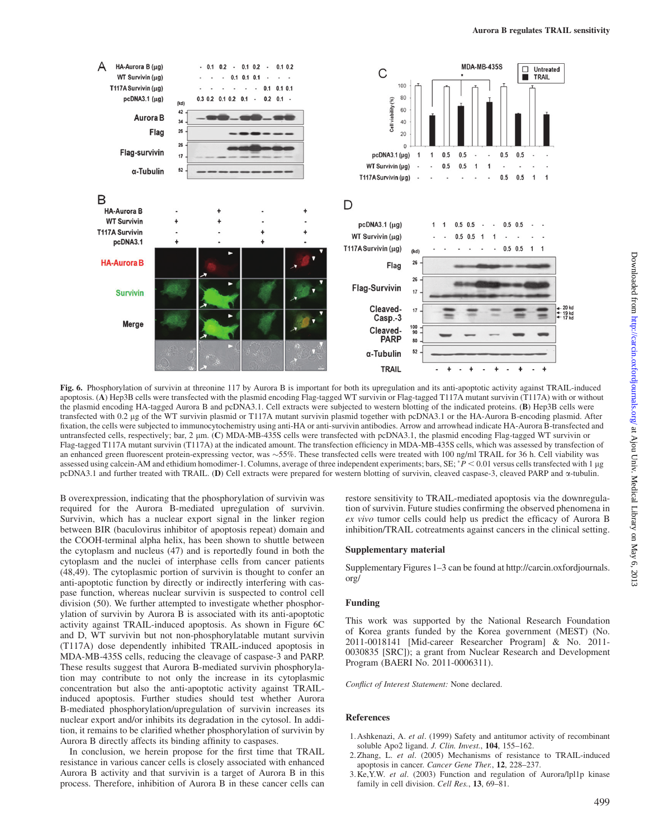

Fig. 6. Phosphorylation of survivin at threonine 117 by Aurora B is important for both its upregulation and its anti-apoptotic activity against TRAIL-induced apoptosis. (A) Hep3B cells were transfected with the plasmid encoding Flag-tagged WT survivin or Flag-tagged T117A mutant survivin (T117A) with or without the plasmid encoding HA-tagged Aurora B and pcDNA3.1. Cell extracts were subjected to western blotting of the indicated proteins. (B) Hep3B cells were transfected with 0.2 lg of the WT survivin plasmid or T117A mutant survivin plasmid together with pcDNA3.1 or the HA-Aurora B-encoding plasmid. After fixation, the cells were subjected to immunocytochemistry using anti-HA or anti-survivin antibodies. Arrow and arrowhead indicate HA-Aurora B-transfected and untransfected cells, respectively; bar, 2  $\mu$ m. (C) MDA-MB-435S cells were transfected with pcDNA3.1, the plasmid encoding Flag-tagged WT survivin or Flag-tagged T117A mutant survivin (T117A) at the indicated amount. The transfection efficiency in MDA-MB-435S cells, which was assessed by transfection of an enhanced green fluorescent protein-expressing vector, was  $\sim$ 55%. These transfected cells were treated with 100 ng/ml TRAIL for 36 h. Cell viability was assessed using calcein-AM and ethidium homodimer-1. Columns, average of three independent experiments; bars,  $SE$ ;  $^*P$  < 0.01 versus cells transfected with 1 µg pcDNA3.1 and further treated with TRAIL. (D) Cell extracts were prepared for western blotting of survivin, cleaved caspase-3, cleaved PARP and a-tubulin.

B overexpression, indicating that the phosphorylation of survivin was required for the Aurora B-mediated upregulation of survivin. Survivin, which has a nuclear export signal in the linker region between BIR (baculovirus inhibitor of apoptosis repeat) domain and the COOH-terminal alpha helix, has been shown to shuttle between the cytoplasm and nucleus (47) and is reportedly found in both the cytoplasm and the nuclei of interphase cells from cancer patients (48,49). The cytoplasmic portion of survivin is thought to confer an anti-apoptotic function by directly or indirectly interfering with caspase function, whereas nuclear survivin is suspected to control cell division (50). We further attempted to investigate whether phosphorylation of survivin by Aurora B is associated with its anti-apoptotic activity against TRAIL-induced apoptosis. As shown in Figure 6C and D, WT survivin but not non-phosphorylatable mutant survivin (T117A) dose dependently inhibited TRAIL-induced apoptosis in MDA-MB-435S cells, reducing the cleavage of caspase-3 and PARP. These results suggest that Aurora B-mediated survivin phosphorylation may contribute to not only the increase in its cytoplasmic concentration but also the anti-apoptotic activity against TRAILinduced apoptosis. Further studies should test whether Aurora B-mediated phosphorylation/upregulation of survivin increases its nuclear export and/or inhibits its degradation in the cytosol. In addition, it remains to be clarified whether phosphorylation of survivin by Aurora B directly affects its binding affinity to caspases.

In conclusion, we herein propose for the first time that TRAIL resistance in various cancer cells is closely associated with enhanced Aurora B activity and that survivin is a target of Aurora B in this process. Therefore, inhibition of Aurora B in these cancer cells can

restore sensitivity to TRAIL-mediated apoptosis via the downregulation of survivin. Future studies confirming the observed phenomena in ex vivo tumor cells could help us predict the efficacy of Aurora B inhibition/TRAIL cotreatments against cancers in the clinical setting.

## Supplementary material

[Supplementary Figures 1](http://www.carcin.oxfordjournals.org/lookup/suppl/doi:10.1093/carcin/bgr298/-/DC1)–[3](http://www.carcin.oxfordjournals.org/lookup/suppl/doi:10.1093/carcin/bgr298/-/DC1) can be found at [http://carcin.oxfordjournals.](http://carcin.oxfordjournals.org/) [org/](http://carcin.oxfordjournals.org/)

#### Funding

This work was supported by the National Research Foundation of Korea grants funded by the Korea government (MEST) (No. 2011-0018141 [Mid-career Researcher Program] & No. 2011- 0030835 [SRC]); a grant from Nuclear Research and Development Program (BAERI No. 2011-0006311).

Conflict of Interest Statement: None declared.

#### References

- 1.Ashkenazi, A. et al. (1999) Safety and antitumor activity of recombinant soluble Apo2 ligand. J. Clin. Invest., 104, 155-162.
- 2.Zhang, L. et al. (2005) Mechanisms of resistance to TRAIL-induced apoptosis in cancer. Cancer Gene Ther., 12, 228–237.
- 3.Ke,Y.W. et al. (2003) Function and regulation of Aurora/lpl1p kinase family in cell division. Cell Res., 13, 69-81.